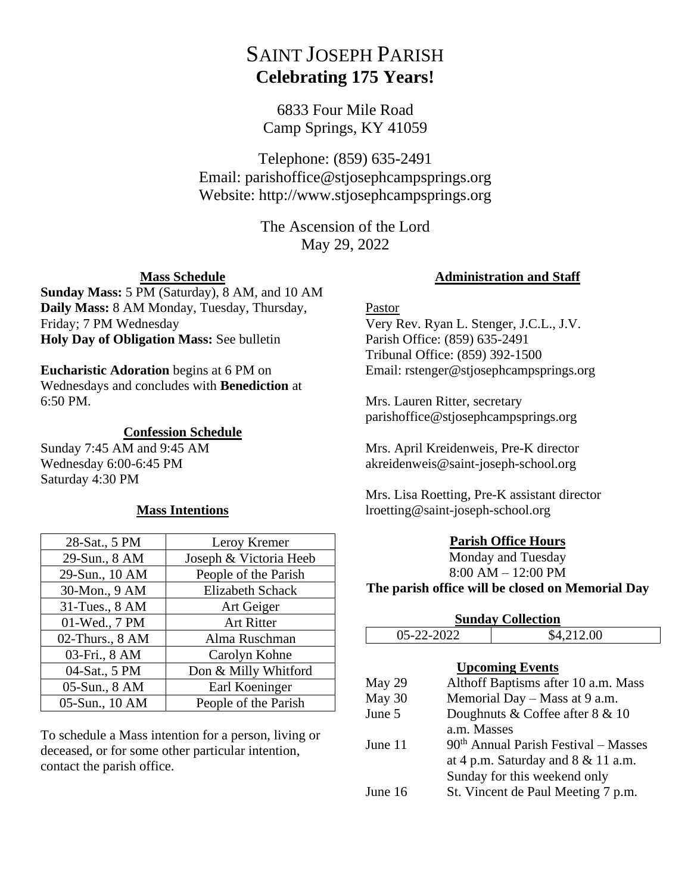# SAINT JOSEPH PARISH **Celebrating 175 Years!**

6833 Four Mile Road Camp Springs, KY 41059

Telephone: (859) 635-2491 Email: parishoffice@stjosephcampsprings.org Website: http://www.stjosephcampsprings.org

> The Ascension of the Lord May 29, 2022

## **Mass Schedule**

**Sunday Mass:** 5 PM (Saturday), 8 AM, and 10 AM **Daily Mass:** 8 AM Monday, Tuesday, Thursday, Friday; 7 PM Wednesday **Holy Day of Obligation Mass:** See bulletin

## **Eucharistic Adoration** begins at 6 PM on

Wednesdays and concludes with **Benediction** at 6:50 PM.

## **Confession Schedule**

Sunday 7:45 AM and 9:45 AM Wednesday 6:00-6:45 PM Saturday 4:30 PM

## **Mass Intentions**

| 28-Sat., 5 PM   | Leroy Kremer           |
|-----------------|------------------------|
| 29-Sun., 8 AM   | Joseph & Victoria Heeb |
| 29-Sun., 10 AM  | People of the Parish   |
| 30-Mon., 9 AM   | Elizabeth Schack       |
| 31-Tues., 8 AM  | Art Geiger             |
| 01-Wed., 7 PM   | <b>Art Ritter</b>      |
| 02-Thurs., 8 AM | Alma Ruschman          |
| 03-Fri., 8 AM   | Carolyn Kohne          |
| 04-Sat., 5 PM   | Don & Milly Whitford   |
| 05-Sun., 8 AM   | Earl Koeninger         |
| 05-Sun., 10 AM  | People of the Parish   |

To schedule a Mass intention for a person, living or deceased, or for some other particular intention, contact the parish office.

## **Administration and Staff**

## Pastor

Very Rev. Ryan L. Stenger, J.C.L., J.V. Parish Office: (859) 635-2491 Tribunal Office: (859) 392-1500 Email: rstenger@stjosephcampsprings.org

Mrs. Lauren Ritter, secretary parishoffice@stjosephcampsprings.org

Mrs. April Kreidenweis, Pre-K director akreidenweis@saint-joseph-school.org

Mrs. Lisa Roetting, Pre-K assistant director lroetting@saint-joseph-school.org

## **Parish Office Hours**

Monday and Tuesday 8:00 AM – 12:00 PM

## **The parish office will be closed on Memorial Day**

| <b>Sunday Collection</b> |             |                                        |  |
|--------------------------|-------------|----------------------------------------|--|
| 05-22-2022               |             | \$4,212.00                             |  |
|                          |             | <b>Upcoming Events</b>                 |  |
| May 29                   |             | Althoff Baptisms after 10 a.m. Mass    |  |
| May 30                   |             | Memorial Day – Mass at 9 a.m.          |  |
| June 5                   |             | Doughnuts & Coffee after $8 \& 10$     |  |
|                          | a.m. Masses |                                        |  |
| June 11                  |             | $90th$ Annual Parish Festival – Masses |  |
|                          |             | at 4 p.m. Saturday and $8 \& 11$ a.m.  |  |
|                          |             | Sunday for this weekend only           |  |
| June 16                  |             | St. Vincent de Paul Meeting 7 p.m.     |  |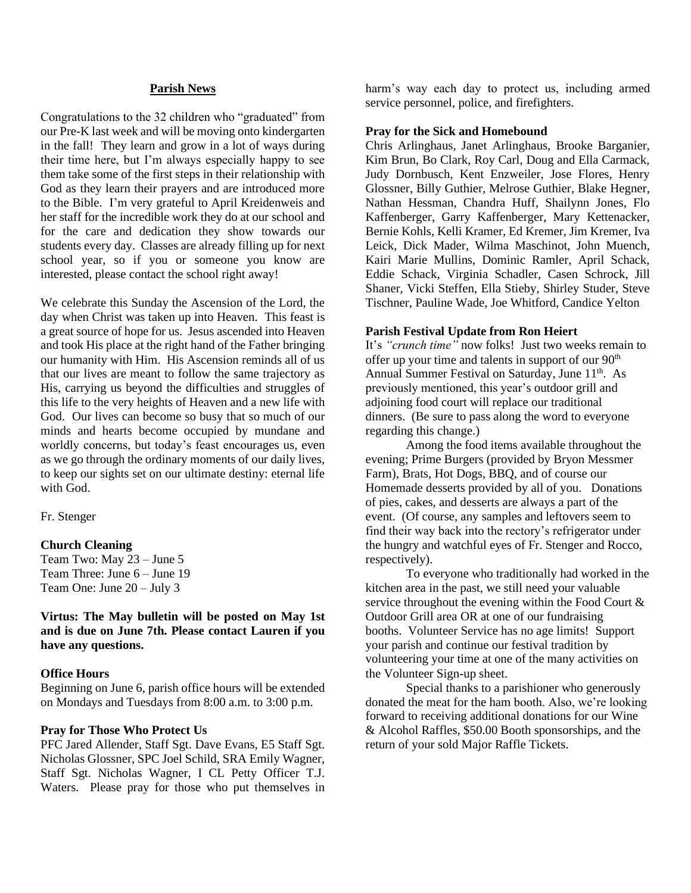#### **Parish News**

Congratulations to the 32 children who "graduated" from our Pre-K last week and will be moving onto kindergarten in the fall! They learn and grow in a lot of ways during their time here, but I'm always especially happy to see them take some of the first steps in their relationship with God as they learn their prayers and are introduced more to the Bible. I'm very grateful to April Kreidenweis and her staff for the incredible work they do at our school and for the care and dedication they show towards our students every day. Classes are already filling up for next school year, so if you or someone you know are interested, please contact the school right away!

We celebrate this Sunday the Ascension of the Lord, the day when Christ was taken up into Heaven. This feast is a great source of hope for us. Jesus ascended into Heaven and took His place at the right hand of the Father bringing our humanity with Him. His Ascension reminds all of us that our lives are meant to follow the same trajectory as His, carrying us beyond the difficulties and struggles of this life to the very heights of Heaven and a new life with God. Our lives can become so busy that so much of our minds and hearts become occupied by mundane and worldly concerns, but today's feast encourages us, even as we go through the ordinary moments of our daily lives, to keep our sights set on our ultimate destiny: eternal life with God.

Fr. Stenger

#### **Church Cleaning**

Team Two: May 23 – June 5 Team Three: June 6 – June 19 Team One: June 20 – July 3

#### **Virtus: The May bulletin will be posted on May 1st and is due on June 7th. Please contact Lauren if you have any questions.**

#### **Office Hours**

Beginning on June 6, parish office hours will be extended on Mondays and Tuesdays from 8:00 a.m. to 3:00 p.m.

#### **Pray for Those Who Protect Us**

PFC Jared Allender, Staff Sgt. Dave Evans, E5 Staff Sgt. Nicholas Glossner, SPC Joel Schild, SRA Emily Wagner, Staff Sgt. Nicholas Wagner, I CL Petty Officer T.J. Waters. Please pray for those who put themselves in harm's way each day to protect us, including armed service personnel, police, and firefighters.

#### **Pray for the Sick and Homebound**

Chris Arlinghaus, Janet Arlinghaus, Brooke Barganier, Kim Brun, Bo Clark, Roy Carl, Doug and Ella Carmack, Judy Dornbusch, Kent Enzweiler, Jose Flores, Henry Glossner, Billy Guthier, Melrose Guthier, Blake Hegner, Nathan Hessman, Chandra Huff, Shailynn Jones, Flo Kaffenberger, Garry Kaffenberger, Mary Kettenacker, Bernie Kohls, Kelli Kramer, Ed Kremer, Jim Kremer, Iva Leick, Dick Mader, Wilma Maschinot, John Muench, Kairi Marie Mullins, Dominic Ramler, April Schack, Eddie Schack, Virginia Schadler, Casen Schrock, Jill Shaner, Vicki Steffen, Ella Stieby, Shirley Studer, Steve Tischner, Pauline Wade, Joe Whitford, Candice Yelton

#### **Parish Festival Update from Ron Heiert**

It's *"crunch time"* now folks! Just two weeks remain to offer up your time and talents in support of our 90<sup>th</sup> Annual Summer Festival on Saturday, June 11<sup>th</sup>. As previously mentioned, this year's outdoor grill and adjoining food court will replace our traditional dinners. (Be sure to pass along the word to everyone regarding this change.)

Among the food items available throughout the evening; Prime Burgers (provided by Bryon Messmer Farm), Brats, Hot Dogs, BBQ, and of course our Homemade desserts provided by all of you. Donations of pies, cakes, and desserts are always a part of the event. (Of course, any samples and leftovers seem to find their way back into the rectory's refrigerator under the hungry and watchful eyes of Fr. Stenger and Rocco, respectively).

To everyone who traditionally had worked in the kitchen area in the past, we still need your valuable service throughout the evening within the Food Court & Outdoor Grill area OR at one of our fundraising booths. Volunteer Service has no age limits! Support your parish and continue our festival tradition by volunteering your time at one of the many activities on the Volunteer Sign-up sheet.

Special thanks to a parishioner who generously donated the meat for the ham booth. Also, we're looking forward to receiving additional donations for our Wine & Alcohol Raffles, \$50.00 Booth sponsorships, and the return of your sold Major Raffle Tickets.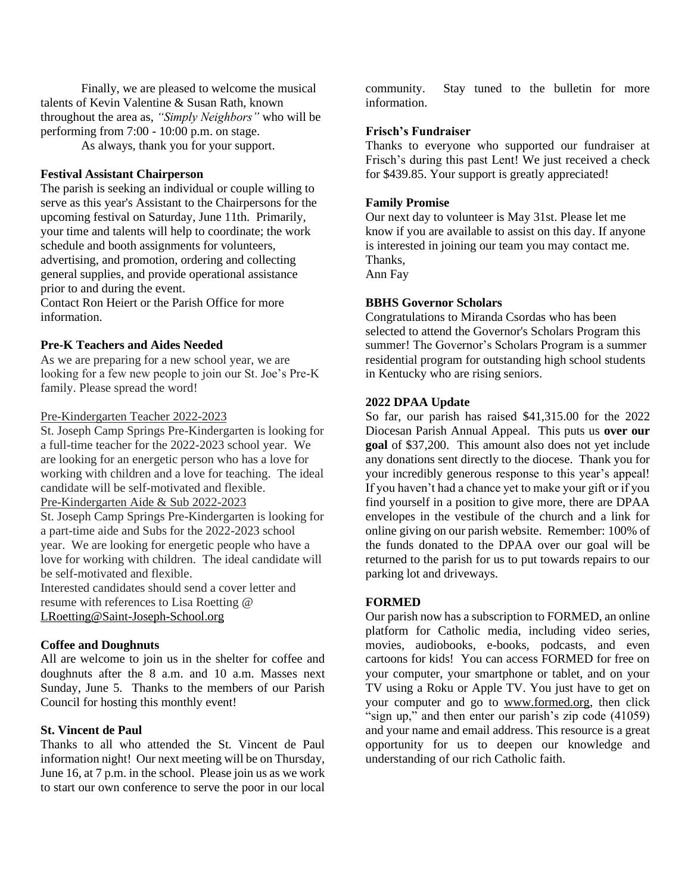Finally, we are pleased to welcome the musical talents of Kevin Valentine & Susan Rath, known throughout the area as, *"Simply Neighbors"* who will be performing from 7:00 - 10:00 p.m. on stage.

As always, thank you for your support.

## **Festival Assistant Chairperson**

The parish is seeking an individual or couple willing to serve as this year's Assistant to the Chairpersons for the upcoming festival on Saturday, June 11th. Primarily, your time and talents will help to coordinate; the work schedule and booth assignments for volunteers, advertising, and promotion, ordering and collecting general supplies, and provide operational assistance prior to and during the event.

Contact Ron Heiert or the Parish Office for more information.

#### **Pre-K Teachers and Aides Needed**

As we are preparing for a new school year, we are looking for a few new people to join our St. Joe's Pre-K family. Please spread the word!

#### Pre-Kindergarten Teacher 2022-2023

St. Joseph Camp Springs Pre-Kindergarten is looking for a full-time teacher for the 2022-2023 school year. We are looking for an energetic person who has a love for working with children and a love for teaching. The ideal candidate will be self-motivated and flexible.

Pre-Kindergarten Aide & Sub 2022-2023

St. Joseph Camp Springs Pre-Kindergarten is looking for a part-time aide and Subs for the 2022-2023 school year. We are looking for energetic people who have a love for working with children. The ideal candidate will be self-motivated and flexible.

Interested candidates should send a cover letter and resume with references to Lisa Roetting @ [LRoetting@Saint-Joseph-School.org](mailto:LRoetting@Saint-Joseph-School.org)

#### **Coffee and Doughnuts**

All are welcome to join us in the shelter for coffee and doughnuts after the 8 a.m. and 10 a.m. Masses next Sunday, June 5. Thanks to the members of our Parish Council for hosting this monthly event!

#### **St. Vincent de Paul**

Thanks to all who attended the St. Vincent de Paul information night! Our next meeting will be on Thursday, June 16, at 7 p.m. in the school. Please join us as we work to start our own conference to serve the poor in our local community. Stay tuned to the bulletin for more information.

## **Frisch's Fundraiser**

Thanks to everyone who supported our fundraiser at Frisch's during this past Lent! We just received a check for \$439.85. Your support is greatly appreciated!

#### **Family Promise**

Our next day to volunteer is May 31st. Please let me know if you are available to assist on this day. If anyone is interested in joining our team you may contact me. Thanks, Ann Fay

#### **BBHS Governor Scholars**

Congratulations to Miranda Csordas who has been selected to attend the Governor's Scholars Program this summer! The Governor's Scholars Program is a summer residential program for outstanding high school students in Kentucky who are rising seniors.

#### **2022 DPAA Update**

So far, our parish has raised \$41,315.00 for the 2022 Diocesan Parish Annual Appeal. This puts us **over our goal** of \$37,200. This amount also does not yet include any donations sent directly to the diocese. Thank you for your incredibly generous response to this year's appeal! If you haven't had a chance yet to make your gift or if you find yourself in a position to give more, there are DPAA envelopes in the vestibule of the church and a link for online giving on our parish website. Remember: 100% of the funds donated to the DPAA over our goal will be returned to the parish for us to put towards repairs to our parking lot and driveways.

## **FORMED**

Our parish now has a subscription to FORMED, an online platform for Catholic media, including video series, movies, audiobooks, e-books, podcasts, and even cartoons for kids! You can access FORMED for free on your computer, your smartphone or tablet, and on your TV using a Roku or Apple TV. You just have to get on your computer and go to [www.formed.](http://www.formed/)org, then click "sign up," and then enter our parish's zip code (41059) and your name and email address. This resource is a great opportunity for us to deepen our knowledge and understanding of our rich Catholic faith.